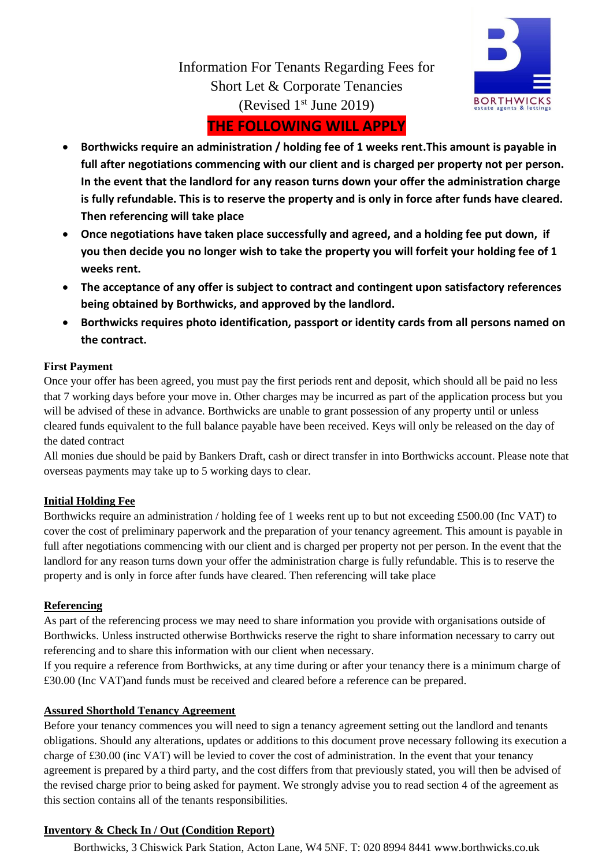

Information For Tenants Regarding Fees for Short Let & Corporate Tenancies (Revised  $1<sup>st</sup>$  June 2019)

# **THE FOLLOWING WILL APPLY**

- **Borthwicks require an administration / holding fee of 1 weeks rent.This amount is payable in full after negotiations commencing with our client and is charged per property not per person. In the event that the landlord for any reason turns down your offer the administration charge is fully refundable. This is to reserve the property and is only in force after funds have cleared. Then referencing will take place**
- **Once negotiations have taken place successfully and agreed, and a holding fee put down, if you then decide you no longer wish to take the property you will forfeit your holding fee of 1 weeks rent.**
- **The acceptance of any offer is subject to contract and contingent upon satisfactory references being obtained by Borthwicks, and approved by the landlord.**
- **Borthwicks requires photo identification, passport or identity cards from all persons named on the contract.**

## **First Payment**

Once your offer has been agreed, you must pay the first periods rent and deposit, which should all be paid no less that 7 working days before your move in. Other charges may be incurred as part of the application process but you will be advised of these in advance. Borthwicks are unable to grant possession of any property until or unless cleared funds equivalent to the full balance payable have been received. Keys will only be released on the day of the dated contract

All monies due should be paid by Bankers Draft, cash or direct transfer in into Borthwicks account. Please note that overseas payments may take up to 5 working days to clear.

## **Initial Holding Fee**

Borthwicks require an administration / holding fee of 1 weeks rent up to but not exceeding £500.00 (Inc VAT) to cover the cost of preliminary paperwork and the preparation of your tenancy agreement. This amount is payable in full after negotiations commencing with our client and is charged per property not per person. In the event that the landlord for any reason turns down your offer the administration charge is fully refundable. This is to reserve the property and is only in force after funds have cleared. Then referencing will take place

## **Referencing**

As part of the referencing process we may need to share information you provide with organisations outside of Borthwicks. Unless instructed otherwise Borthwicks reserve the right to share information necessary to carry out referencing and to share this information with our client when necessary.

If you require a reference from Borthwicks, at any time during or after your tenancy there is a minimum charge of £30.00 (Inc VAT)and funds must be received and cleared before a reference can be prepared.

## **Assured Shorthold Tenancy Agreement**

Before your tenancy commences you will need to sign a tenancy agreement setting out the landlord and tenants obligations. Should any alterations, updates or additions to this document prove necessary following its execution a charge of £30.00 (inc VAT) will be levied to cover the cost of administration. In the event that your tenancy agreement is prepared by a third party, and the cost differs from that previously stated, you will then be advised of the revised charge prior to being asked for payment. We strongly advise you to read section 4 of the agreement as this section contains all of the tenants responsibilities.

## **Inventory & Check In / Out (Condition Report)**

Borthwicks, 3 Chiswick Park Station, Acton Lane, W4 5NF. T: 020 8994 8441 www.borthwicks.co.uk